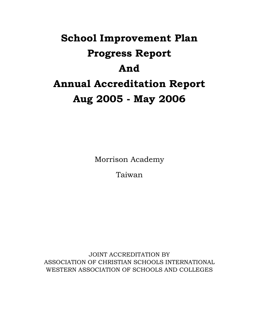# School Improvement Plan Progress Report And Annual Accreditation Report Aug 2005 - May 2006

Morrison Academy

Taiwan

JOINT ACCREDITATION BY ASSOCIATION OF CHRISTIAN SCHOOLS INTERNATIONAL WESTERN ASSOCIATION OF SCHOOLS AND COLLEGES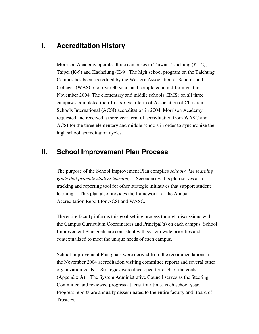## **I. Accreditation History**

Morrison Academy operates three campuses in Taiwan: Taichung (K-12), Taipei (K-9) and Kaohsiung (K-9). The high school program on the Taichung Campus has been accredited by the Western Association of Schools and Colleges (WASC) for over 30 years and completed a mid-term visit in November 2004. The elementary and middle schools (EMS) on all three campuses completed their first six-year term of Association of Christian Schools International (ACSI) accreditation in 2004. Morrison Academy requested and received a three year term of accreditation from WASC and ACSI for the three elementary and middle schools in order to synchronize the high school accreditation cycles.

# **II. School Improvement Plan Process**

The purpose of the School Improvement Plan compiles *school-wide learning goals that promote student learning.* Secondarily, this plan serves as a tracking and reporting tool for other strategic initiatives that support student learning. This plan also provides the framework for the Annual Accreditation Report for ACSI and WASC.

The entire faculty informs this goal setting process through discussions with the Campus Curriculum Coordinators and Principal(s) on each campus. School Improvement Plan goals are consistent with system wide priorities and contextualized to meet the unique needs of each campus.

School Improvement Plan goals were derived from the recommendations in the November 2004 accreditation visiting committee reports and several other organization goals. Strategies were developed for each of the goals. (Appendix A) The System Administrative Council serves as the Steering Committee and reviewed progress at least four times each school year. Progress reports are annually disseminated to the entire faculty and Board of Trustees.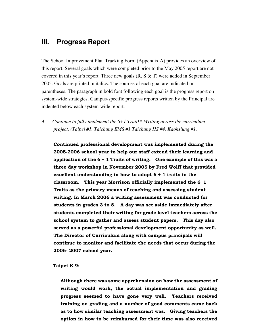## **III. Progress Report**

The School Improvement Plan Tracking Form (Appendix A) provides an overview of this report. Several goals which were completed prior to the May 2005 report are not covered in this year's report. Three new goals  $(R, S \& T)$  were added in September 2005. Goals are printed in italics. The sources of each goal are indicated in parentheses. The paragraph in bold font following each goal is the progress report on system-wide strategies. Campus-specific progress reports written by the Principal are indented below each system-wide report.

*A. Continue to fully implement the 6+1 Trait™ Writing across the curriculum project. (Taipei #1, Taichung EMS #1,Taichung HS #4, Kaohsiung #1)* 

Continued professional development was implemented during the 2005-2006 school year to help our staff extend their learning and application of the  $6 + 1$  Traits of writing. One example of this was a three day workshop in November 2005 by Fred Wolff that provided excellent understanding in how to adopt  $6 + 1$  traits in the classroom. This year Morrison officially implemented the 6+1 Traits as the primary means of teaching and assessing student writing. In March 2006 a writing assessment was conducted for students in grades 3 to 8. A day was set aside immediately after students completed their writing for grade level teachers across the school system to gather and assess student papers. This day also served as a powerful professional development opportunity as well. The Director of Curriculum along with campus principals will continue to monitor and facilitate the needs that occur during the 2006- 2007 school year.

#### Taipei K-9:

Although there was some apprehension on how the assessment of writing would work, the actual implementation and grading progress seemed to have gone very well. Teachers received training on grading and a number of good comments came back as to how similar teaching assessment was. Giving teachers the option in how to be reimbursed for their time was also received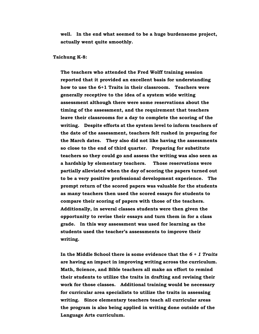well. In the end what seemed to be a huge burdensome project, actually went quite smoothly.

#### Taichung K-8:

The teachers who attended the Fred Wolff training session reported that it provided an excellent basis for understanding how to use the 6+1 Traits in their classroom. Teachers were generally receptive to the idea of a system wide writing assessment although there were some reservations about the timing of the assessment, and the requirement that teachers leave their classrooms for a day to complete the scoring of the writing. Despite efforts at the system level to inform teachers of the date of the assessment, teachers felt rushed in preparing for the March dates. They also did not like having the assessments so close to the end of third quarter. Preparing for substitute teachers so they could go and assess the writing was also seen as a hardship by elementary teachers. Those reservations were partially alleviated when the day of scoring the papers turned out to be a very positive professional development experience. The prompt return of the scored papers was valuable for the students as many teachers then used the scored essays for students to compare their scoring of papers with those of the teachers. Additionally, in several classes students were then given the opportunity to revise their essays and turn them in for a class grade. In this way assessment was used for learning as the students used the teacher's assessments to improve their writing.

In the Middle School there is some evidence that the  $6 + 1$  Traits are having an impact in improving writing across the curriculum. Math, Science, and Bible teachers all make an effort to remind their students to utilize the traits in drafting and revising their work for those classes. Additional training would be necessary for curricular area specialists to utilize the traits in assessing writing. Since elementary teachers teach all curricular areas the program is also being applied in writing done outside of the Language Arts curriculum.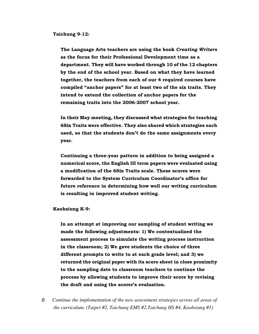Taichung 9-12:

The Language Arts teachers are using the book Creating Writers as the focus for their Professional Development time as a department. They will have worked through 10 of the 12 chapters by the end of the school year. Based on what they have learned together, the teachers from each of our 4 required courses have compiled "anchor papers" for at least two of the six traits. They intend to extend the collection of anchor papers for the remaining traits into the 2006-2007 school year.

In their May meeting, they discussed what strategies for teaching 6Six Traits were effective. They also shared which strategies each used, so that the students don't do the same assignments every year.

Continuing a three-year pattern in addition to being assigned a numerical score, the English III term papers were evaluated using a modification of the 6Six Traits scale. These scores were forwarded to the System Curriculum Coordinator's office for future reference in determining how well our writing curriculum is resulting in improved student writing.

Kaohsiung K-9:

In an attempt at improving our sampling of student writing we made the following adjustments: 1) We contextualized the assessment process to simulate the writing process instruction in the classroom; 2) We gave students the choice of three different prompts to write to at each grade level; and 3) we returned the original paper with its score sheet in close proximity to the sampling date to classroom teachers to continue the process by allowing students to improve their score by revising the draft and using the scorer's evaluation.

*B. Continue the implementation of the new assessment strategies across all areas of the curriculum. (Taipei #2, Taichung EMS #2,Taichung HS #4, Kaohsiung #1)*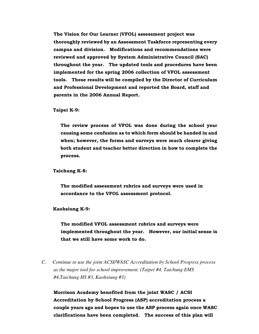The Vision for Our Learner (VFOL) assessment project was thoroughly reviewed by an Assessment Taskforce representing every campus and division. Modifications and recommendations were reviewed and approved by System Administrative Council (SAC) throughout the year. The updated tools and procedures have been implemented for the spring 2006 collection of VFOL assessment tools. These results will be compiled by the Director of Curriculum and Professional Development and reported the Board, staff and parents in the 2006 Annual Report.

#### Taipei K-9:

The review process of VFOL was done during the school year causing some confusion as to which form should be handed in and when; however, the forms and surveys were much clearer giving both student and teacher better direction in how to complete the process.

#### Taichung K-8:

The modified assessment rubrics and surveys were used in accordance to the VFOL assessment protocol.

#### Kaohsiung K-9:

The modified VFOL assessment rubrics and surveys were implemented throughout the year. However, our initial sense is that we still have some work to do.

*C. Continue to use the joint ACSI/WASC Accreditation by School Progress process as the major tool for school improvement. (Taipei #4, Taichung EMS #4,Taichung HS #3, Kaohsiung #3)* 

Morrison Academy benefited from the joint WASC / ACSI Accreditation by School Progress (ASP) accreditation process a couple years ago and hopes to use the ASP process again once WASC clarifications have been completed. The success of this plan will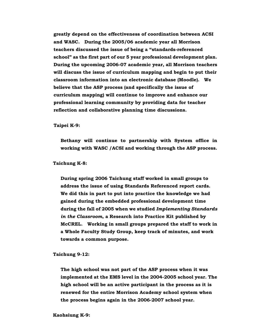greatly depend on the effectiveness of coordination between ACSI and WASC. During the 2005/06 academic year all Morrison teachers discussed the issue of being a "standards-referenced school" as the first part of our 5 year professional development plan. During the upcoming 2006-07 academic year, all Morrison teachers will discuss the issue of curriculum mapping and begin to put their classroom information into an electronic database (Moodle). We believe that the ASP process (and specifically the issue of curriculum mapping) will continue to improve and enhance our professional learning community by providing data for teacher reflection and collaborative planning time discussions.

Taipei K-9:

Bethany will continue to partnership with System office in working with WASC /ACSI and working through the ASP process.

Taichung K-8:

During spring 2006 Taichung staff worked in small groups to address the issue of using Standards Referenced report cards. We did this in part to put into practice the knowledge we had gained during the embedded professional development time during the fall of 2005 when we studied Implementing Standards in the Classroom, a Research into Practice Kit published by McCREL. Working in small groups prepared the staff to work in a Whole Faculty Study Group, keep track of minutes, and work towards a common purpose.

Taichung 9-12:

The high school was not part of the ASP process when it was implemented at the EMS level in the 2004-2005 school year. The high school will be an active participant in the process as it is renewed for the entire Morrison Academy school system when the process begins again in the 2006-2007 school year.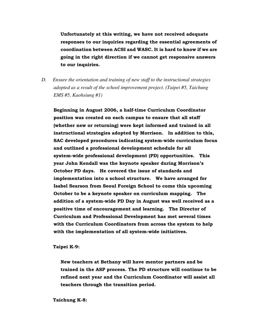Unfortunately at this writing, we have not received adequate responses to our inquiries regarding the essential agreements of coordination between ACSI and WASC. It is hard to know if we are going in the right direction if we cannot get responsive answers to our inquiries.

*D. Ensure the orientation and training of new staff to the instructional strategies adopted as a result of the school improvement project. (Taipei #5, Taichung EMS #5, Kaohsiung #1)* 

Beginning in August 2006, a half-time Curriculum Coordinator position was created on each campus to ensure that all staff (whether new or returning) were kept informed and trained in all instructional strategies adopted by Morrison. In addition to this, SAC developed procedures indicating system-wide curriculum focus and outlined a professional development schedule for all system-wide professional development (PD) opportunities. This year John Kendall was the keynote speaker during Morrison's October PD days. He covered the issue of standards and implementation into a school structure. We have arranged for Isabel Searson from Seoul Foreign School to come this upcoming October to be a keynote speaker on curriculum mapping. The addition of a system-wide PD Day in August was well received as a positive time of encouragement and learning. The Director of Curriculum and Professional Development has met several times with the Curriculum Coordinators from across the system to help with the implementation of all system-wide initiatives.

Taipei K-9:

New teachers at Bethany will have mentor partners and be trained in the ASP process. The PD structure will continue to be refined next year and the Curriculum Coordinator will assist all teachers through the transition period.

#### Taichung K-8: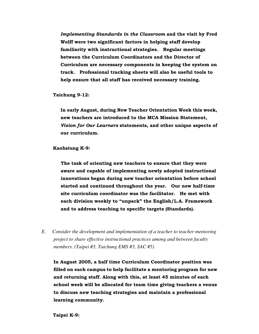Implementing Standards in the Classroom and the visit by Fred Wolff were two significant factors in helping staff develop familiarity with instructional strategies. Regular meetings between the Curriculum Coordinators and the Director of Curriculum are necessary components in keeping the system on track. Professional tracking sheets will also be useful tools to help ensure that all staff has received necessary training.

Taichung 9-12:

In early August, during New Teacher Orientation Week this week, new teachers are introduced to the MCA Mission Statement, Vision for Our Learners statements, and other unique aspects of our curriculum.

Kaohsiung K-9:

The task of orienting new teachers to ensure that they were aware and capable of implementing newly adopted instructional innovations began during new teacher orientation before school started and continued throughout the year. Our new half-time site curriculum coordinator was the facilitator. He met with each division weekly to "unpack" the English/L.A. Framework and to address teaching to specific targets (Standards).

*E. Consider the development and implementation of a teacher to teacher mentoring project to share effective instructional practices among and between faculty members. (Taipei #3, Taichung EMS #3, SAC #5)* 

In August 2005, a half time Curriculum Coordinator position was filled on each campus to help facilitate a mentoring program for new and returning staff. Along with this, at least 45 minutes of each school week will be allocated for team time giving teachers a venue to discuss new teaching strategies and maintain a professional learning community.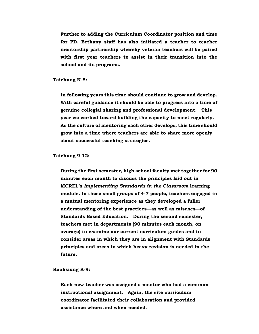Further to adding the Curriculum Coordinator position and time for PD, Bethany staff has also initiated a teacher to teacher mentorship partnership whereby veteran teachers will be paired with first year teachers to assist in their transition into the school and its programs.

Taichung K-8:

In following years this time should continue to grow and develop. With careful guidance it should be able to progress into a time of genuine collegial sharing and professional development. This year we worked toward building the capacity to meet regularly. As the culture of mentoring each other develops, this time should grow into a time where teachers are able to share more openly about successful teaching strategies.

Taichung 9-12:

During the first semester, high school faculty met together for 90 minutes each month to discuss the principles laid out in MCREL's Implementing Standards in the Classroom learning module. In these small groups of 4-7 people, teachers engaged in a mutual mentoring experience as they developed a fuller understanding of the best practices—as well as misuses—of Standards Based Education. During the second semester, teachers met in departments (90 minutes each month, on average) to examine our current curriculum guides and to consider areas in which they are in alignment with Standards principles and areas in which heavy revision is needed in the future.

Kaohsiung K-9:

Each new teacher was assigned a mentor who had a common instructional assignment. Again, the site curriculum coordinator facilitated their collaboration and provided assistance where and when needed.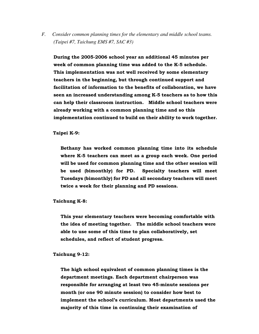*F. Consider common planning times for the elementary and middle school teams. (Taipei #7, Taichung EMS #7, SAC #3)* 

During the 2005-2006 school year an additional 45 minutes per week of common planning time was added to the K-5 schedule. This implementation was not well received by some elementary teachers in the beginning, but through continued support and facilitation of information to the benefits of collaboration, we have seen an increased understanding among K-5 teachers as to how this can help their classroom instruction. Middle school teachers were already working with a common planning time and so this implementation continued to build on their ability to work together.

Taipei K-9:

Bethany has worked common planning time into its schedule where K-5 teachers can meet as a group each week. One period will be used for common planning time and the other session will be used (bimonthly) for PD. Specialty teachers will meet Tuesdays (bimonthly) for PD and all secondary teachers will meet twice a week for their planning and PD sessions.

Taichung K-8:

This year elementary teachers were becoming comfortable with the idea of meeting together. The middle school teachers were able to use some of this time to plan collaboratively, set schedules, and reflect of student progress.

Taichung 9-12:

The high school equivalent of common planning times is the department meetings. Each department chairperson was responsible for arranging at least two 45-minute sessions per month (or one 90 minute session) to consider how best to implement the school's curriculum. Most departments used the majority of this time in continuing their examination of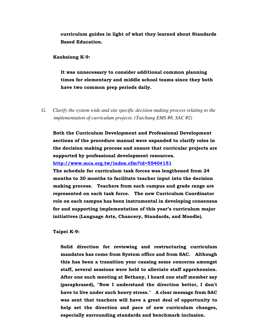curriculum guides in light of what they learned about Standards Based Education.

Kaohsiung K-9:

It was unnecessary to consider additional common planning times for elementary and middle school teams since they both have two common prep periods daily.

*G. Clarify the system wide and site specific decision making process relating to the implementation of curriculum projects. (Taichung EMS #8, SAC #2)* 

Both the Curriculum Development and Professional Development sections of the procedure manual were expanded to clarify roles in the decision making process and ensure that curricular projects are supported by professional development resources.

http://www.mca.org.tw/index.cfm?id=5540#151

The schedule for curriculum task forces was lengthened from 24 months to 30 months to facilitate teacher input into the decision making process. Teachers from each campus and grade range are represented on each task force. The new Curriculum Coordinator role on each campus has been instrumental in developing consensus for and supporting implementation of this year's curriculum major initiatives (Language Arts, Chancery, Standards, and Moodle).

Taipei K-9:

Solid direction for reviewing and restructuring curriculum mandates has come from System office and from SAC. Although this has been a transition year causing some concerns amongst staff, several sessions were held to alleviate staff apprehension. After one such meeting at Bethany, I heard one staff member say (paraphrased), "Now I understand the direction better, I don't have to live under such heavy stress." A clear message from SAC was sent that teachers will have a great deal of opportunity to help set the direction and pace of new curriculum changes, especially surrounding standards and benchmark inclusion.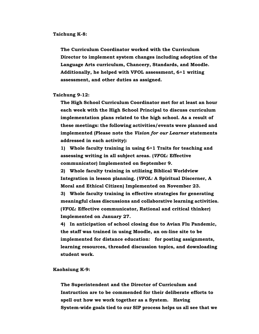#### Taichung K-8:

The Curriculum Coordinator worked with the Curriculum Director to implement system changes including adoption of the Language Arts curriculum, Chancery, Standards, and Moodle. Additionally, he helped with VFOL assessment, 6+1 writing assessment, and other duties as assigned.

Taichung 9-12:

The High School Curriculum Coordinator met for at least an hour each week with the High School Principal to discuss curriculum implementation plans related to the high school. As a result of these meetings: the following activities/events were planned and implemented (Please note the Vision for our Learner statements addressed in each activity):

1) Whole faculty training in using 6+1 Traits for teaching and assessing writing in all subject areas. (VFOL: Effective communicator) Implemented on September 9.

2) Whole faculty training in utilizing Biblical Worldview Integration in lesson planning. (VFOL: A Spiritual Discerner, A Moral and Ethical Citizen) Implemented on November 23. 3) Whole faculty training in effective strategies for generating meaningful class discussions and collaborative learning activities. (VFOL: Effective communicator, Rational and critical thinker) Implemented on January 27.

4) In anticipation of school closing due to Avian Flu Pandemic, the staff was trained in using Moodle, an on-line site to be implemented for distance education: for posting assignments, learning resources, threaded discussion topics, and downloading student work.

Kaohsiung K-9:

The Superintendent and the Director of Curriculum and Instruction are to be commended for their deliberate efforts to spell out how we work together as a System. Having System-wide goals tied to our SIP process helps us all see that we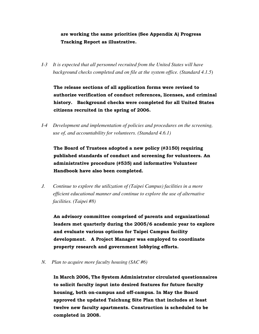are working the same priorities (See Appendix A) Progress Tracking Report as illustrative.

*I-3 It is expected that all personnel recruited from the United States will have background checks completed and on file at the system office. (Standard 4.1.5*)

The release sections of all application forms were revised to authorize verification of conduct references, licenses, and criminal history. Background checks were completed for all United States citizens recruited in the spring of 2006.

*I-4 Development and implementation of policies and procedures on the screening, use of, and accountability for volunteers. (Standard 4.6.1)* 

The Board of Trustees adopted a new policy (#3150) requiring published standards of conduct and screening for volunteers. An administrative procedure (#535) and informative Volunteer Handbook have also been completed.

*J. Continue to explore the utilization of (Taipei Campus) facilities in a more efficient educational manner and continue to explore the use of alternative facilities. (Taipei #8)* 

An advisory committee comprised of parents and organizational leaders met quarterly during the 2005/6 academic year to explore and evaluate various options for Taipei Campus facility development. A Project Manager was employed to coordinate property research and government lobbying efforts.

*N. Plan to acquire more faculty housing (SAC #6)*

In March 2006, The System Administrator circulated questionnaires to solicit faculty input into desired features for future faculty housing, both on-campus and off-campus. In May the Board approved the updated Taichung Site Plan that includes at least twelve new faculty apartments. Construction is scheduled to be completed in 2008.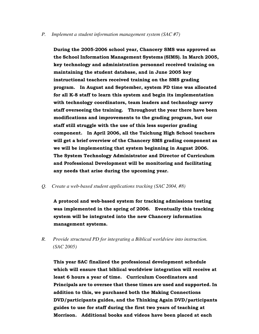#### *P. Implement a student information management system (SAC #7)*

During the 2005-2006 school year, Chancery SMS was approved as the School Information Management Systems (SIMS). In March 2005, key technology and administration personnel received training on maintaining the student database, and in June 2005 key instructional teachers received training on the SMS grading program. In August and September, system PD time was allocated for all K-8 staff to learn this system and begin its implementation with technology coordinators, team leaders and technology savvy staff overseeing the training. Throughout the year there have been modifications and improvements to the grading program, but our staff still struggle with the use of this less superior grading component. In April 2006, all the Taichung High School teachers will get a brief overview of the Chancery SMS grading component as we will be implementing that system beginning in August 2006. The System Technology Administrator and Director of Curriculum and Professional Development will be monitoring and facilitating any needs that arise during the upcoming year.

*Q. Create a web-based student applications tracking (SAC 2004, #8)* 

A protocol and web-based system for tracking admissions testing was implemented in the spring of 2006. Eventually this tracking system will be integrated into the new Chancery information management systems.

*R. Provide structured PD for integrating a Biblical worldview into instruction. (SAC 2005)* 

This year SAC finalized the professional development schedule which will ensure that biblical worldview integration will receive at least 6 hours a year of time. Curriculum Coordinators and Principals are to oversee that these times are used and supported. In addition to this, we purchased both the Making Connections DVD/participants guides, and the Thinking Again DVD/participants guides to use for staff during the first two years of teaching at Morrison. Additional books and videos have been placed at each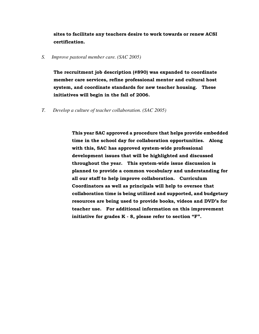sites to facilitate any teachers desire to work towards or renew ACSI certification.

*S. Improve pastoral member care. (SAC 2005)* 

The recruitment job description (#890) was expanded to coordinate member care services, refine professional mentor and cultural host system, and coordinate standards for new teacher housing. These initiatives will begin in the fall of 2006.

*T. Develop a culture of teacher collaboration. (SAC 2005)* 

This year SAC approved a procedure that helps provide embedded time in the school day for collaboration opportunities. Along with this, SAC has approved system-wide professional development issues that will be highlighted and discussed throughout the year. This system-wide issue discussion is planned to provide a common vocabulary and understanding for all our staff to help improve collaboration. Curriculum Coordinators as well as principals will help to oversee that collaboration time is being utilized and supported, and budgetary resources are being used to provide books, videos and DVD's for teacher use. For additional information on this improvement initiative for grades K - 8, please refer to section "F".